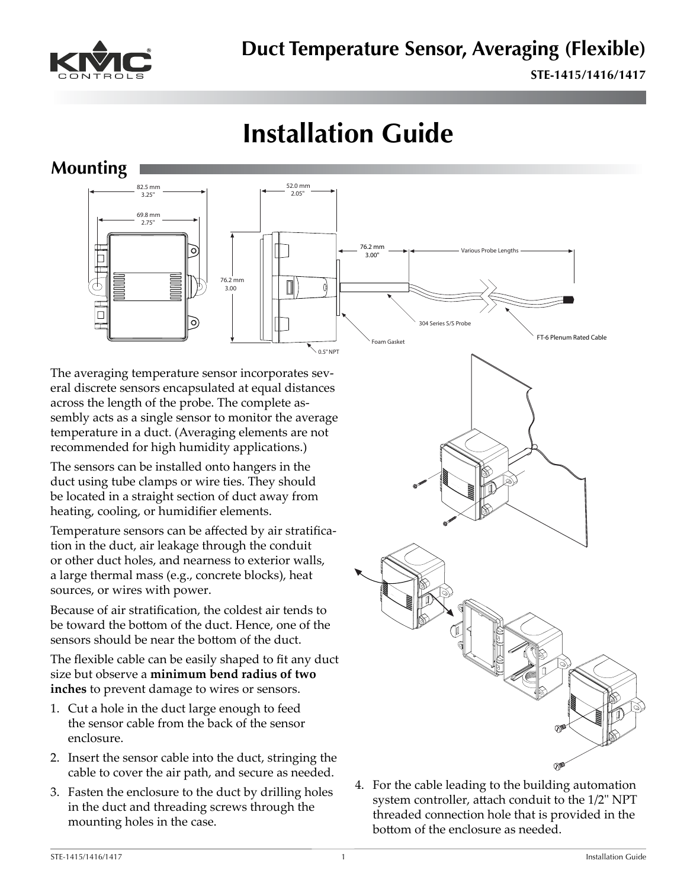

# **Installation Guide**

#### **Mounting**



The averaging temperature sensor incorporates several discrete sensors encapsulated at equal distances across the length of the probe. The complete assembly acts as a single sensor to monitor the average temperature in a duct. (Averaging elements are not recommended for high humidity applications.)

The sensors can be installed onto hangers in the duct using tube clamps or wire ties. They should be located in a straight section of duct away from heating, cooling, or humidifier elements.

Temperature sensors can be affected by air stratification in the duct, air leakage through the conduit or other duct holes, and nearness to exterior walls, a large thermal mass (e.g., concrete blocks), heat sources, or wires with power.

Because of air stratification, the coldest air tends to be toward the bottom of the duct. Hence, one of the sensors should be near the bottom of the duct.

The flexible cable can be easily shaped to fit any duct size but observe a **minimum bend radius of two inches** to prevent damage to wires or sensors.

- 1. Cut a hole in the duct large enough to feed the sensor cable from the back of the sensor enclosure.
- 2. Insert the sensor cable into the duct, stringing the cable to cover the air path, and secure as needed.
- 3. Fasten the enclosure to the duct by drilling holes in the duct and threading screws through the mounting holes in the case.



4. For the cable leading to the building automation system controller, attach conduit to the 1/2" NPT threaded connection hole that is provided in the bottom of the enclosure as needed.